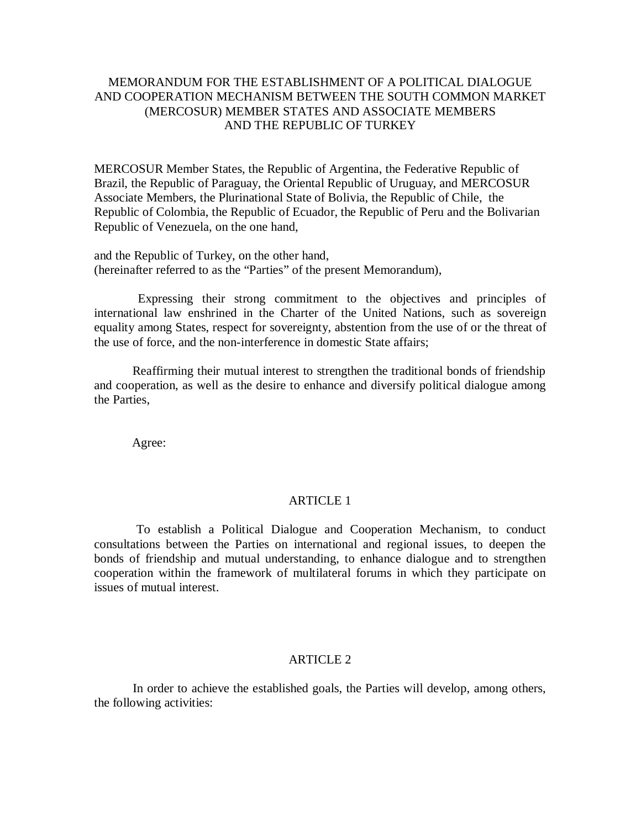# MEMORANDUM FOR THE ESTABLISHMENT OF A POLITICAL DIALOGUE AND COOPERATION MECHANISM BETWEEN THE SOUTH COMMON MARKET (MERCOSUR) MEMBER STATES AND ASSOCIATE MEMBERS AND THE REPUBLIC OF TURKEY

MERCOSUR Member States, the Republic of Argentina, the Federative Republic of Brazil, the Republic of Paraguay, the Oriental Republic of Uruguay, and MERCOSUR Associate Members, the Plurinational State of Bolivia, the Republic of Chile, the Republic of Colombia, the Republic of Ecuador, the Republic of Peru and the Bolivarian Republic of Venezuela, on the one hand,

and the Republic of Turkey, on the other hand, (hereinafter referred to as the "Parties" of the present Memorandum),

 Expressing their strong commitment to the objectives and principles of international law enshrined in the Charter of the United Nations, such as sovereign equality among States, respect for sovereignty, abstention from the use of or the threat of the use of force, and the non-interference in domestic State affairs;

 Reaffirming their mutual interest to strengthen the traditional bonds of friendship and cooperation, as well as the desire to enhance and diversify political dialogue among the Parties,

Agree:

## ARTICLE 1

 To establish a Political Dialogue and Cooperation Mechanism, to conduct consultations between the Parties on international and regional issues, to deepen the bonds of friendship and mutual understanding, to enhance dialogue and to strengthen cooperation within the framework of multilateral forums in which they participate on issues of mutual interest.

## ARTICLE 2

 In order to achieve the established goals, the Parties will develop, among others, the following activities: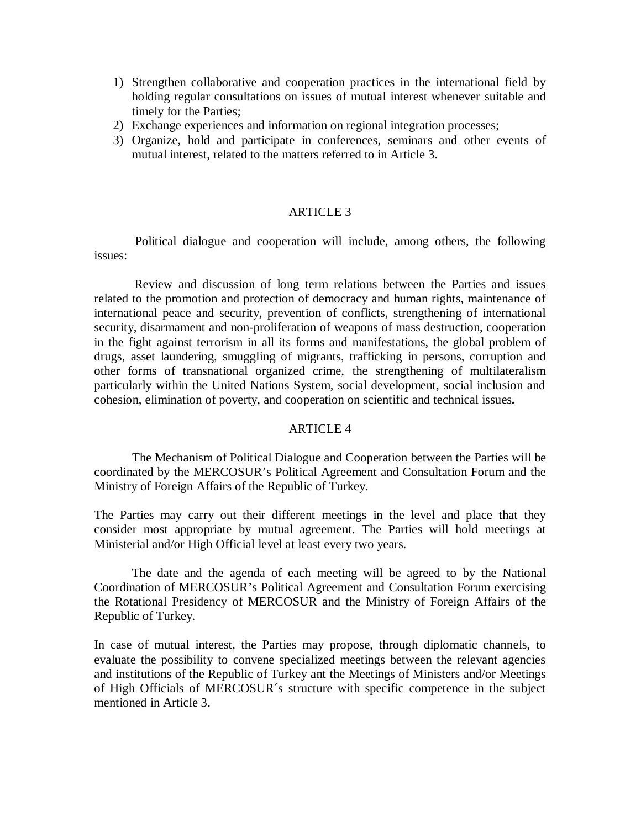- 1) Strengthen collaborative and cooperation practices in the international field by holding regular consultations on issues of mutual interest whenever suitable and timely for the Parties;
- 2) Exchange experiences and information on regional integration processes;
- 3) Organize, hold and participate in conferences, seminars and other events of mutual interest, related to the matters referred to in Article 3.

## ARTICLE 3

 Political dialogue and cooperation will include, among others, the following issues:

 Review and discussion of long term relations between the Parties and issues related to the promotion and protection of democracy and human rights, maintenance of international peace and security, prevention of conflicts, strengthening of international security, disarmament and non-proliferation of weapons of mass destruction, cooperation in the fight against terrorism in all its forms and manifestations, the global problem of drugs, asset laundering, smuggling of migrants, trafficking in persons, corruption and other forms of transnational organized crime, the strengthening of multilateralism particularly within the United Nations System, social development, social inclusion and cohesion, elimination of poverty, and cooperation on scientific and technical issues**.**

## ARTICLE 4

 The Mechanism of Political Dialogue and Cooperation between the Parties will be coordinated by the MERCOSUR's Political Agreement and Consultation Forum and the Ministry of Foreign Affairs of the Republic of Turkey.

The Parties may carry out their different meetings in the level and place that they consider most appropriate by mutual agreement. The Parties will hold meetings at Ministerial and/or High Official level at least every two years.

 The date and the agenda of each meeting will be agreed to by the National Coordination of MERCOSUR's Political Agreement and Consultation Forum exercising the Rotational Presidency of MERCOSUR and the Ministry of Foreign Affairs of the Republic of Turkey.

In case of mutual interest, the Parties may propose, through diplomatic channels, to evaluate the possibility to convene specialized meetings between the relevant agencies and institutions of the Republic of Turkey ant the Meetings of Ministers and/or Meetings of High Officials of MERCOSUR´s structure with specific competence in the subject mentioned in Article 3.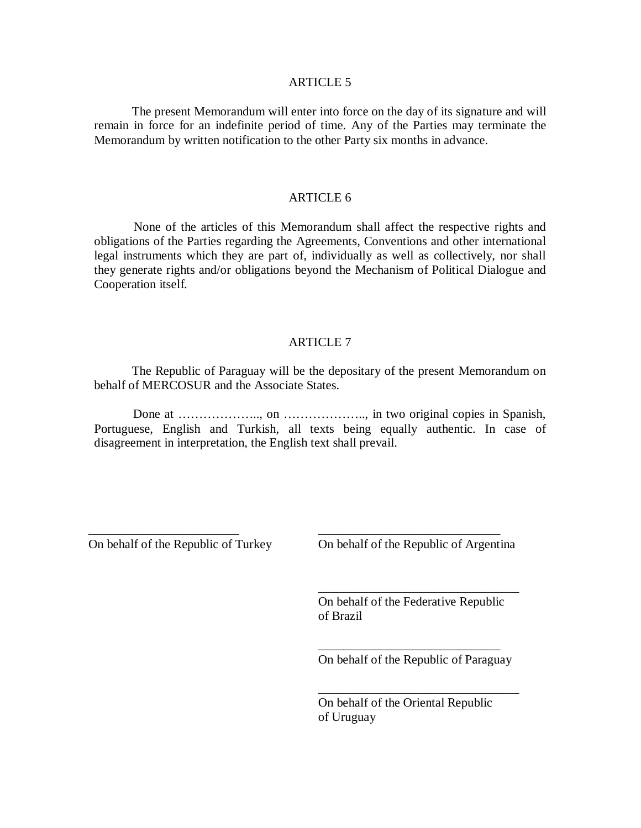#### ARTICLE 5

The present Memorandum will enter into force on the day of its signature and will remain in force for an indefinite period of time. Any of the Parties may terminate the Memorandum by written notification to the other Party six months in advance.

#### ARTICLE 6

 None of the articles of this Memorandum shall affect the respective rights and obligations of the Parties regarding the Agreements, Conventions and other international legal instruments which they are part of, individually as well as collectively, nor shall they generate rights and/or obligations beyond the Mechanism of Political Dialogue and Cooperation itself.

#### ARTICLE 7

The Republic of Paraguay will be the depositary of the present Memorandum on behalf of MERCOSUR and the Associate States.

 Done at ……………….., on ……………….., in two original copies in Spanish, Portuguese, English and Turkish, all texts being equally authentic. In case of disagreement in interpretation, the English text shall prevail.

On behalf of the Republic of Turkey

\_\_\_\_\_\_\_\_\_\_\_\_\_\_\_\_\_\_\_\_\_\_\_\_

On behalf of the Republic of Argentina

\_\_\_\_\_\_\_\_\_\_\_\_\_\_\_\_\_\_\_\_\_\_\_\_\_\_\_\_\_\_\_\_

\_\_\_\_\_\_\_\_\_\_\_\_\_\_\_\_\_\_\_\_\_\_\_\_\_\_\_\_\_

On behalf of the Federative Republic of Brazil

\_\_\_\_\_\_\_\_\_\_\_\_\_\_\_\_\_\_\_\_\_\_\_\_\_\_\_\_\_ On behalf of the Republic of Paraguay

\_\_\_\_\_\_\_\_\_\_\_\_\_\_\_\_\_\_\_\_\_\_\_\_\_\_\_\_\_\_\_\_

On behalf of the Oriental Republic of Uruguay